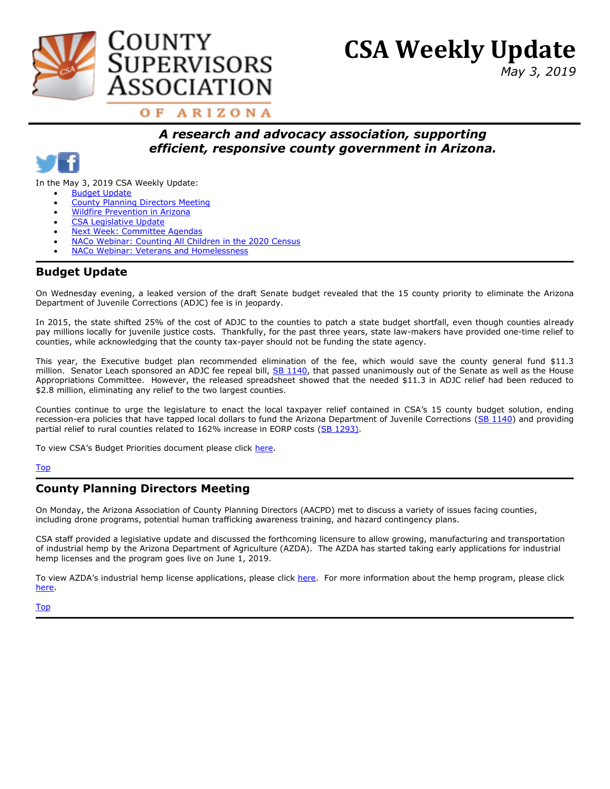<span id="page-0-2"></span>

# **CSA Weekly Update**

*May 3, 2019*

OF ARIZONA

# *A research and advocacy association, supporting efficient, responsive county government in Arizona.*



In the May 3, 2019 CSA Weekly Update:

- [Budget Update](#page-0-0)
- [County Planning Directors Meeting](#page-0-1)
- [Wildfire Prevention in Arizona](#page-1-0)
- [CSA Legislative Update](#page-1-1)
- [Next Week: Committee Agendas](#page-1-2)
- [NACo Webinar: Counting All Children in the 2020 Census](#page-1-3)
- [NACo Webinar: Veterans and Homelessness](#page-2-0)

## <span id="page-0-0"></span>**Budget Update**

On Wednesday evening, a leaked version of the draft Senate budget revealed that the 15 county priority to eliminate the Arizona Department of Juvenile Corrections (ADJC) fee is in jeopardy.

In 2015, the state shifted 25% of the cost of ADJC to the counties to patch a state budget shortfall, even though counties already pay millions locally for juvenile justice costs. Thankfully, for the past three years, state law-makers have provided one-time relief to counties, while acknowledging that the county tax-payer should not be funding the state agency.

This year, the Executive budget plan recommended elimination of the fee, which would save the county general fund \$11.3 million. Senator Leach sponsored an ADJC fee repeal bill, [SB 1140,](https://apps.azleg.gov/BillStatus/GetDocumentPdf/465405) that passed unanimously out of the Senate as well as the House Appropriations Committee. However, the released spreadsheet showed that the needed \$11.3 in ADJC relief had been reduced to \$2.8 million, eliminating any relief to the two largest counties.

Counties continue to urge the legislature to enact the local taxpayer relief contained in CSA's 15 county budget solution, ending recession-era policies that have tapped local dollars to fund the Arizona Department of Juvenile Corrections [\(SB 1140\)](https://apps.azleg.gov/BillStatus/GetDocumentPdf/465405) and providing partial relief to rural counties related to 162% increase in EORP costs [\(SB 1293\)](https://www.azleg.gov/legtext/54leg/1R/bills/SB1293P.pdf).

To view CSA's Budget Priorities document please click [here.](https://drive.google.com/file/d/1DRe-VSV2kr910S0xafEDUw8qE64rG8l_/view?usp=sharing)

#### [Top](#page-0-2)

## <span id="page-0-1"></span>**County Planning Directors Meeting**

On Monday, the Arizona Association of County Planning Directors (AACPD) met to discuss a variety of issues facing counties, including drone programs, potential human trafficking awareness training, and hazard contingency plans.

CSA staff provided a legislative update and discussed the forthcoming licensure to allow growing, manufacturing and transportation of industrial hemp by the Arizona Department of Agriculture (AZDA). The AZDA has started taking early applications for industrial hemp licenses and the program goes live on June 1, 2019.

To view AZDA's industrial hemp license applications, please click [here.](https://agriculture.az.gov/plantsproduce/industrial-hemp-program/industrial-hemp-license-applications) For more information about the hemp program, please click [here.](https://agriculture.az.gov/plantsproduce/industrial-hemp-program/industrial-hemp-license-applications)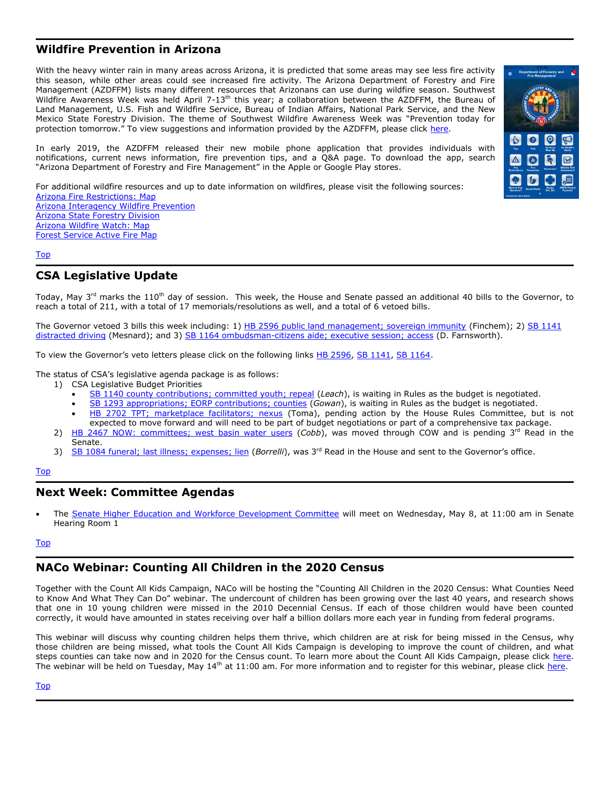## <span id="page-1-0"></span>**Wildfire Prevention in Arizona**

With the heavy winter rain in many areas across Arizona, it is predicted that some areas may see less fire activity this season, while other areas could see increased fire activity. The Arizona Department of Forestry and Fire Management (AZDFFM) lists many different resources that Arizonans can use during wildfire season. Southwest Wildfire Awareness Week was held April 7-13<sup>th</sup> this year; a collaboration between the AZDFFM, the Bureau of Land Management, U.S. Fish and Wildfire Service, Bureau of Indian Affairs, National Park Service, and the New Mexico State Forestry Division. The theme of Southwest Wildfire Awareness Week was "Prevention today for protection tomorrow." To view suggestions and information provided by the AZDFFM, please click [here.](https://dffm.az.gov/2019-wildfire-awareness-week)

In early 2019, the AZDFFM released their new mobile phone application that provides individuals with notifications, current news information, fire prevention tips, and a Q&A page. To download the app, search "Arizona Department of Forestry and Fire Management" in the Apple or Google Play stores.

For additional wildfire resources and up to date information on wildfires, please visit the following sources: [Arizona Fire Restrictions: Map](https://firerestrictions.us/az/) [Arizona Interagency Wildfire Prevention](https://wildlandfire.az.gov/) [Arizona State Forestry Division](https://dffm.az.gov/) Arizona [Wildfire Watch: Map](https://wildlandfire.az.gov/wildfire-news) [Forest Service Active Fire Map](https://fsapps.nwcg.gov/?sensor=modis&extent=conus)

#### [Top](#page-0-2)

#### <span id="page-1-1"></span>**CSA Legislative Update**

Today, May 3<sup>rd</sup> marks the 110<sup>th</sup> day of session. This week, the House and Senate passed an additional 40 bills to the Governor, to reach a total of 211, with a total of 17 memorials/resolutions as well, and a total of 6 vetoed bills.

The Governor vetoed 3 bills this week including: 1) [HB 2596 public land management; sovereign immunity](https://apps.azleg.gov/BillStatus/GetDocumentPdf/467014) (Finchem); 2) [SB 1141](https://apps.azleg.gov/BillStatus/GetDocumentPdf/468502)  [distracted driving](https://apps.azleg.gov/BillStatus/GetDocumentPdf/468502) (Mesnard); and 3) [SB 1164 ombudsman-citizens aide; executive session; access](https://apps.azleg.gov/BillStatus/GetDocumentPdf/466195) (D. Farnsworth).

To view the Governor's veto letters please click on the following links [HB 2596,](https://apps.azleg.gov/BillStatus/GetDocumentPdf/470893) [SB 1141,](https://apps.azleg.gov/BillStatus/GetDocumentPdf/470793) [SB 1164.](https://apps.azleg.gov/BillStatus/GetDocumentPdf/470892)

The status of CSA's legislative agenda package is as follows:

- 1) CSA Legislative Budget Priorities
	- [SB 1140 county contributions; committed youth; repeal](https://www.azleg.gov/legtext/54leg/1R/bills/SB1140S.pdf) (*Leach*), is waiting in Rules as the budget is negotiated.
	- [SB 1293 appropriations; EORP contributions; counties](https://www.azleg.gov/legtext/54leg/1R/bills/SB1293P.pdf) (*Gowan*), is waiting in Rules as the budget is negotiated.
	- [HB 2702 TPT; marketplace facilitators; nexus](https://www.azleg.gov/legtext/54leg/1R/bills/HB2702P.pdf)</u> (Toma), pending action by the House Rules Committee, but is not expected to move forward and will need to be part of budget negotiations or part of a comprehensive tax package.
- 2) [HB 2467 NOW: committees;](https://www.azleg.gov/legtext/54leg/1R/adopted/H.2467NATURAL%20RESOURCES%20ENERGY%20%20WATER.pdf) west basin water users (Cobb), was moved through COW and is pending 3<sup>rd</sup> Read in the Senate.
- 3) [SB 1084 funeral; last illness; expenses; lien](http://www.azleg.gov/legtext/54leg/1R/bills/SB1084S.pdf) (*Borrelli*), was 3<sup>rd</sup> Read in the House and sent to the Governor's office.

#### [Top](#page-0-2)

#### <span id="page-1-2"></span>**Next Week: Committee Agendas**

 The [Senate Higher Education and Workforce Development Committee](https://www.azleg.gov/agendas/05080107121.pdf) will meet on Wednesday, May 8, at 11:00 am in Senate Hearing Room 1

#### [Top](#page-0-2)

## <span id="page-1-3"></span>**NACo Webinar: Counting All Children in the 2020 Census**

Together with the Count All Kids Campaign, NACo will be hosting the "Counting All Children in the 2020 Census: What Counties Need to Know And What They Can Do" webinar. The undercount of children has been growing over the last 40 years, and research shows that one in 10 young children were missed in the 2010 Decennial Census. If each of those children would have been counted correctly, it would have amounted in states receiving over half a billion dollars more each year in funding from federal programs.

This webinar will discuss why counting children helps them thrive, which children are at risk for being missed in the Census, why those children are being missed, what tools the Count All Kids Campaign is developing to improve the count of children, and what steps counties can take now and in 2020 for the Census count. To learn more about the Count All Kids Campaign, please click [here.](https://countallkids.org/) The webinar will be held on Tuesday, May 14<sup>th</sup> at 11:00 am. For more information and to register for this webinar, please click [here.](https://www.naco.org/events/counting-all-children-2020-census-what-counties-need-know-and-what-they-can-do)